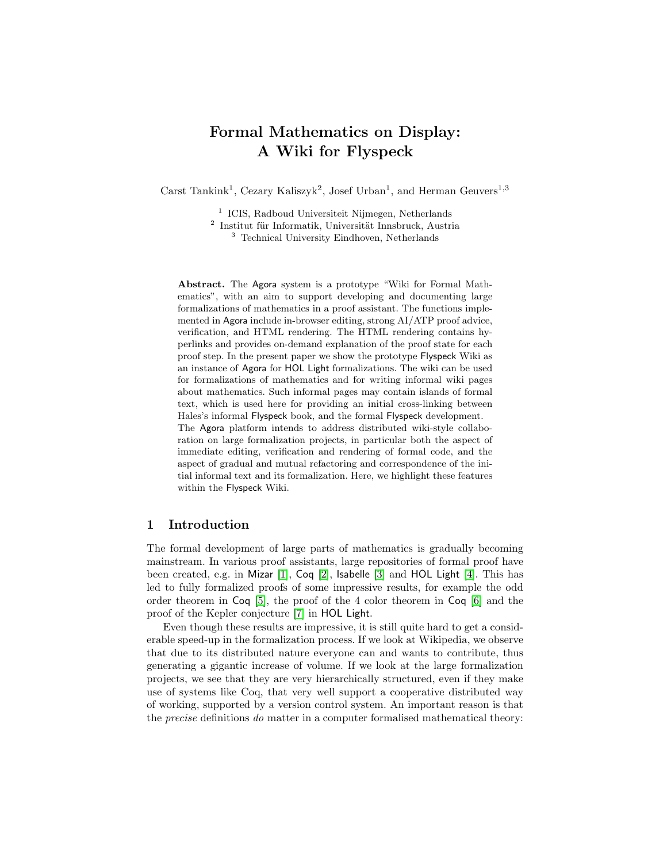# Formal Mathematics on Display: A Wiki for Flyspeck

Carst Tankink<sup>1</sup>, Cezary Kaliszyk<sup>2</sup>, Josef Urban<sup>1</sup>, and Herman Geuvers<sup>1,3</sup>

<sup>1</sup> ICIS, Radboud Universiteit Nijmegen, Netherlands

<sup>2</sup> Institut für Informatik, Universität Innsbruck, Austria

<sup>3</sup> Technical University Eindhoven, Netherlands

Abstract. The Agora system is a prototype "Wiki for Formal Mathematics", with an aim to support developing and documenting large formalizations of mathematics in a proof assistant. The functions implemented in Agora include in-browser editing, strong AI/ATP proof advice, verification, and HTML rendering. The HTML rendering contains hyperlinks and provides on-demand explanation of the proof state for each proof step. In the present paper we show the prototype Flyspeck Wiki as an instance of Agora for HOL Light formalizations. The wiki can be used for formalizations of mathematics and for writing informal wiki pages about mathematics. Such informal pages may contain islands of formal text, which is used here for providing an initial cross-linking between Hales's informal Flyspeck book, and the formal Flyspeck development.

The Agora platform intends to address distributed wiki-style collaboration on large formalization projects, in particular both the aspect of immediate editing, verification and rendering of formal code, and the aspect of gradual and mutual refactoring and correspondence of the initial informal text and its formalization. Here, we highlight these features within the Flyspeck Wiki.

#### 1 Introduction

The formal development of large parts of mathematics is gradually becoming mainstream. In various proof assistants, large repositories of formal proof have been created, e.g. in Mizar [\[1\]](#page-14-0), Coq [\[2\]](#page-14-1), Isabelle [\[3\]](#page-14-2) and HOL Light [\[4\]](#page-14-3). This has led to fully formalized proofs of some impressive results, for example the odd order theorem in Coq [\[5\]](#page-14-4), the proof of the 4 color theorem in Coq [\[6\]](#page-14-5) and the proof of the Kepler conjecture [\[7\]](#page-14-6) in HOL Light.

Even though these results are impressive, it is still quite hard to get a considerable speed-up in the formalization process. If we look at Wikipedia, we observe that due to its distributed nature everyone can and wants to contribute, thus generating a gigantic increase of volume. If we look at the large formalization projects, we see that they are very hierarchically structured, even if they make use of systems like Coq, that very well support a cooperative distributed way of working, supported by a version control system. An important reason is that the precise definitions do matter in a computer formalised mathematical theory: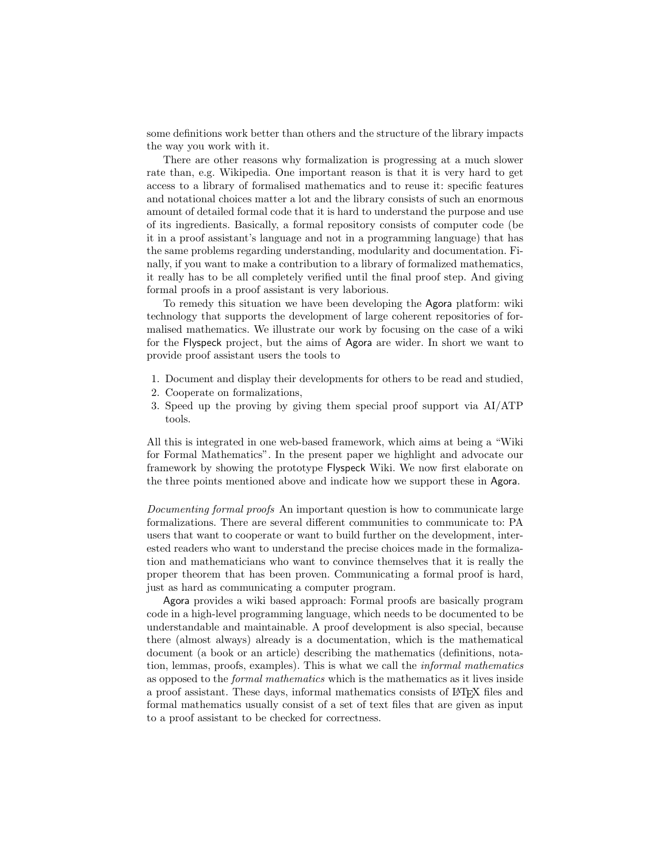some definitions work better than others and the structure of the library impacts the way you work with it.

There are other reasons why formalization is progressing at a much slower rate than, e.g. Wikipedia. One important reason is that it is very hard to get access to a library of formalised mathematics and to reuse it: specific features and notational choices matter a lot and the library consists of such an enormous amount of detailed formal code that it is hard to understand the purpose and use of its ingredients. Basically, a formal repository consists of computer code (be it in a proof assistant's language and not in a programming language) that has the same problems regarding understanding, modularity and documentation. Finally, if you want to make a contribution to a library of formalized mathematics, it really has to be all completely verified until the final proof step. And giving formal proofs in a proof assistant is very laborious.

To remedy this situation we have been developing the Agora platform: wiki technology that supports the development of large coherent repositories of formalised mathematics. We illustrate our work by focusing on the case of a wiki for the Flyspeck project, but the aims of Agora are wider. In short we want to provide proof assistant users the tools to

- 1. Document and display their developments for others to be read and studied,
- 2. Cooperate on formalizations,
- 3. Speed up the proving by giving them special proof support via AI/ATP tools.

All this is integrated in one web-based framework, which aims at being a "Wiki for Formal Mathematics". In the present paper we highlight and advocate our framework by showing the prototype Flyspeck Wiki. We now first elaborate on the three points mentioned above and indicate how we support these in Agora.

Documenting formal proofs An important question is how to communicate large formalizations. There are several different communities to communicate to: PA users that want to cooperate or want to build further on the development, interested readers who want to understand the precise choices made in the formalization and mathematicians who want to convince themselves that it is really the proper theorem that has been proven. Communicating a formal proof is hard, just as hard as communicating a computer program.

Agora provides a wiki based approach: Formal proofs are basically program code in a high-level programming language, which needs to be documented to be understandable and maintainable. A proof development is also special, because there (almost always) already is a documentation, which is the mathematical document (a book or an article) describing the mathematics (definitions, notation, lemmas, proofs, examples). This is what we call the informal mathematics as opposed to the formal mathematics which is the mathematics as it lives inside a proof assistant. These days, informal mathematics consists of LATEX files and formal mathematics usually consist of a set of text files that are given as input to a proof assistant to be checked for correctness.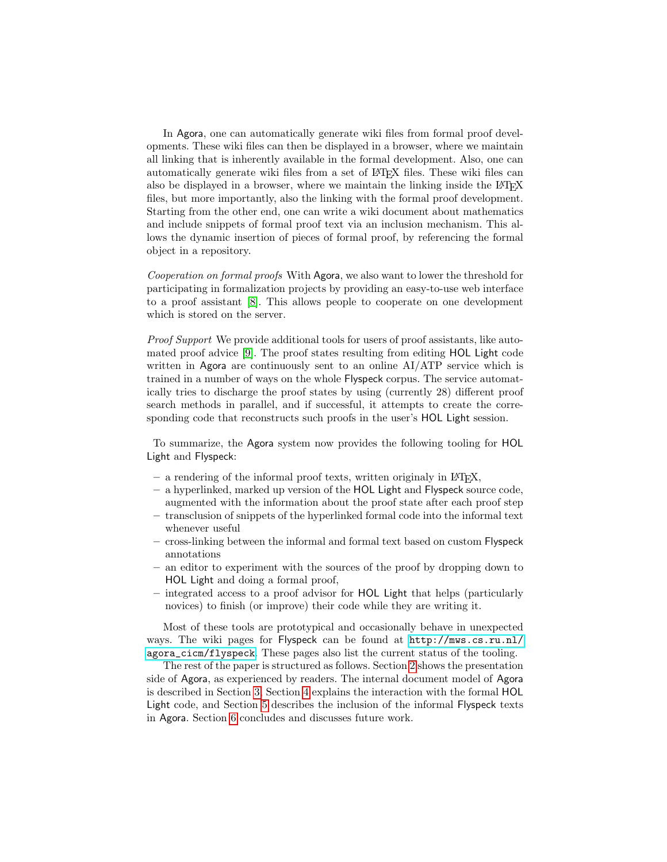In Agora, one can automatically generate wiki files from formal proof developments. These wiki files can then be displayed in a browser, where we maintain all linking that is inherently available in the formal development. Also, one can automatically generate wiki files from a set of LAT<sub>EX</sub> files. These wiki files can also be displayed in a browser, where we maintain the linking inside the LAT<sub>EX</sub> files, but more importantly, also the linking with the formal proof development. Starting from the other end, one can write a wiki document about mathematics and include snippets of formal proof text via an inclusion mechanism. This allows the dynamic insertion of pieces of formal proof, by referencing the formal object in a repository.

Cooperation on formal proofs With Agora, we also want to lower the threshold for participating in formalization projects by providing an easy-to-use web interface to a proof assistant [\[8\]](#page-14-7). This allows people to cooperate on one development which is stored on the server.

Proof Support We provide additional tools for users of proof assistants, like automated proof advice [\[9\]](#page-14-8). The proof states resulting from editing HOL Light code written in Agora are continuously sent to an online  $AI/ATP$  service which is trained in a number of ways on the whole Flyspeck corpus. The service automatically tries to discharge the proof states by using (currently 28) different proof search methods in parallel, and if successful, it attempts to create the corresponding code that reconstructs such proofs in the user's HOL Light session.

To summarize, the Agora system now provides the following tooling for HOL Light and Flyspeck:

- $-$  a rendering of the informal proof texts, written originaly in LAT<sub>E</sub>X,
- a hyperlinked, marked up version of the HOL Light and Flyspeck source code, augmented with the information about the proof state after each proof step
- transclusion of snippets of the hyperlinked formal code into the informal text whenever useful
- cross-linking between the informal and formal text based on custom Flyspeck annotations
- an editor to experiment with the sources of the proof by dropping down to HOL Light and doing a formal proof,
- integrated access to a proof advisor for HOL Light that helps (particularly novices) to finish (or improve) their code while they are writing it.

Most of these tools are prototypical and occasionally behave in unexpected ways. The wiki pages for Flyspeck can be found at [http://mws.cs.ru.nl/](http://mws.cs.ru.nl/agora_cicm/flyspeck) [agora\\_cicm/flyspeck](http://mws.cs.ru.nl/agora_cicm/flyspeck). These pages also list the current status of the tooling.

The rest of the paper is structured as follows. Section [2](#page-3-0) shows the presentation side of Agora, as experienced by readers. The internal document model of Agora is described in Section [3,](#page-6-0) Section [4](#page-7-0) explains the interaction with the formal HOL Light code, and Section [5](#page-11-0) describes the inclusion of the informal Flyspeck texts in Agora. Section [6](#page-13-0) concludes and discusses future work.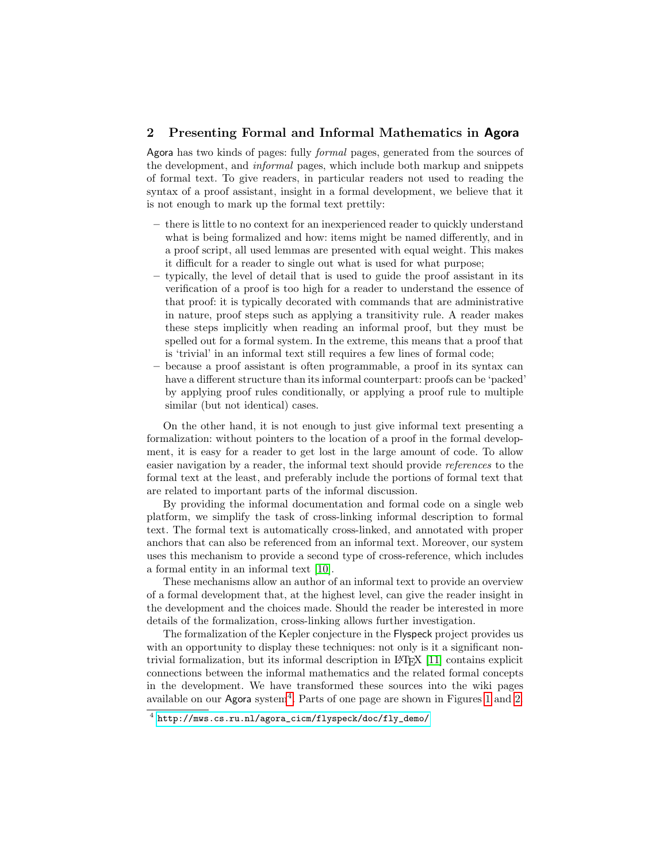## <span id="page-3-0"></span>2 Presenting Formal and Informal Mathematics in Agora

Agora has two kinds of pages: fully formal pages, generated from the sources of the development, and informal pages, which include both markup and snippets of formal text. To give readers, in particular readers not used to reading the syntax of a proof assistant, insight in a formal development, we believe that it is not enough to mark up the formal text prettily:

- there is little to no context for an inexperienced reader to quickly understand what is being formalized and how: items might be named differently, and in a proof script, all used lemmas are presented with equal weight. This makes it difficult for a reader to single out what is used for what purpose;
- typically, the level of detail that is used to guide the proof assistant in its verification of a proof is too high for a reader to understand the essence of that proof: it is typically decorated with commands that are administrative in nature, proof steps such as applying a transitivity rule. A reader makes these steps implicitly when reading an informal proof, but they must be spelled out for a formal system. In the extreme, this means that a proof that is 'trivial' in an informal text still requires a few lines of formal code;
- because a proof assistant is often programmable, a proof in its syntax can have a different structure than its informal counterpart: proofs can be 'packed' by applying proof rules conditionally, or applying a proof rule to multiple similar (but not identical) cases.

On the other hand, it is not enough to just give informal text presenting a formalization: without pointers to the location of a proof in the formal development, it is easy for a reader to get lost in the large amount of code. To allow easier navigation by a reader, the informal text should provide references to the formal text at the least, and preferably include the portions of formal text that are related to important parts of the informal discussion.

By providing the informal documentation and formal code on a single web platform, we simplify the task of cross-linking informal description to formal text. The formal text is automatically cross-linked, and annotated with proper anchors that can also be referenced from an informal text. Moreover, our system uses this mechanism to provide a second type of cross-reference, which includes a formal entity in an informal text [\[10\]](#page-14-9).

These mechanisms allow an author of an informal text to provide an overview of a formal development that, at the highest level, can give the reader insight in the development and the choices made. Should the reader be interested in more details of the formalization, cross-linking allows further investigation.

The formalization of the Kepler conjecture in the Flyspeck project provides us with an opportunity to display these techniques: not only is it a significant nontrivial formalization, but its informal description in LATEX [\[11\]](#page-14-10) contains explicit connections between the informal mathematics and the related formal concepts in the development. We have transformed these sources into the wiki pages available on our Agora system<sup>[4](#page-3-1)</sup>. Parts of one page are shown in Figures [1](#page-4-0) and [2.](#page-5-0)

<span id="page-3-1"></span><sup>4</sup> [http://mws.cs.ru.nl/agora\\_cicm/flyspeck/doc/fly\\_demo/](http://mws.cs.ru.nl/agora_cicm/flyspeck/doc/fly_demo/)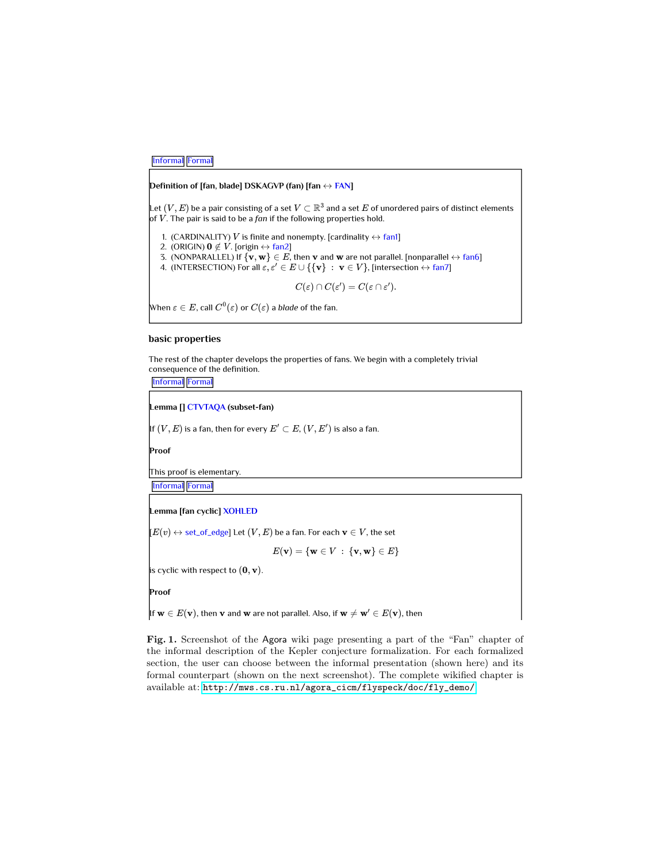Informal Formal

Definition of [fan, blade] DSKAGVP (fan) [fan ↔ <mark>FAN</mark>]

Let  $(V, E)$  be a pair consisting of a set  $V \subset \mathbb{R}^3$  and a set  $E$  of unordered pairs of distinct elements of  $V$ . The pair is said to be a  $fan$  if the following properties hold.

1.  $\left(\text{CARDINALITY}\right) V$  is finite and nonempty. [cardinality  $\leftrightarrow$  f<mark>an</mark>1]

2. (ORIGIN)  $\mathbf{0} \notin V$ . [origin  $\leftrightarrow \textsf{fan2}$ ]

 ${\tt S.}$  (NONPARALLEL) If  $\{{\bf v},{\bf w}\}\in E$ , then  ${\bf v}$  and  ${\bf w}$  are not parallel. [nonparallel  $\leftrightarrow$  fan $6$ ] 4. (INTERSECTION) For all  $\varepsilon, \varepsilon' \in E \cup \{\{\mathbf{v}\} \ : \ \mathbf{v} \in V\}$ , [intersection  $\leftrightarrow$  fan7]

 $C(\varepsilon) \cap C(\varepsilon') = C(\varepsilon \cap \varepsilon').$ 

When  $\varepsilon \in E$ , call  $C^0(\varepsilon)$  or  $C(\varepsilon)$  a blade of the fan.

#### **basic properties**

The rest of the chapter develops the properties of fans. We begin with a completely trivial consequence of the definition.

Informal Formal

**Lemma [] CTVTAQA (subset-fan)**

If  $(V,E)$  is a fan, then for every  $E'\subset E$ ,  $(V,E')$  is also a fan.

**Proof**

This proof is elementary.

Informal Formal

**Lemma [fan cyclic] XOHLED**

 $[E(v) \leftrightarrow \text{set\_of\_edge}]$  Let  $(V, E)$  be a fan. For each  $\mathbf{v} \in V,$  the set

 $E(\mathbf{v}) = {\mathbf{w} \in V : {\mathbf{v}, \mathbf{w}} \in E}$ 

is cyclic with respect to  $(\mathbf{0},\mathbf{v})$ .

**Proof**

If  $\mathbf{w} \in E(\mathbf{v})$ , then  $\mathbf{v}$  and  $\mathbf{w}$  are not parallel. Also, if  $\mathbf{w} \neq \mathbf{w}' \in E(\mathbf{v})$ , then

<span id="page-4-0"></span>Fig. 1. Screenshot of the Agora wiki page presenting a part of the "Fan" chapter of the informal description of the Kepler conjecture formalization. For each formalized section, the user can choose between the informal presentation (shown here) and its formal counterpart (shown on the next screenshot). The complete wikified chapter is available at: [http://mws.cs.ru.nl/agora\\_cicm/flyspeck/doc/fly\\_demo/](http://mws.cs.ru.nl/agora_cicm/flyspeck/doc/fly_demo/).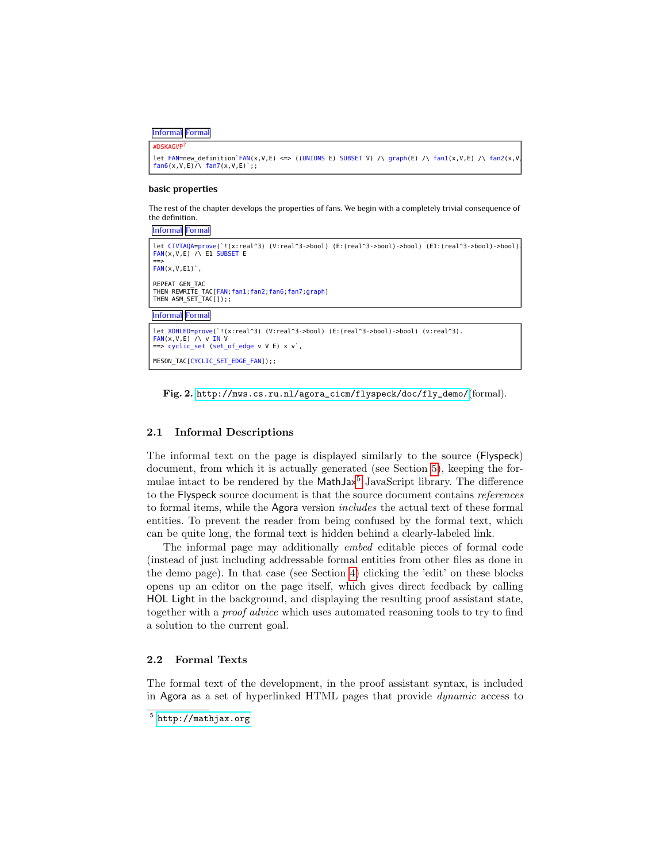#### Informal Formal

```
#DSKAGVP?
let FAN=new definition`FAN(x,V,E) <=> ((UNIONS E) SUBSET V) /\ graph(E) /\ fan1(x,V,E) /\ fan2(x,V
fan6(x,V,E)/\int fan7(x,V,E);;
```
#### **basic properties**

The rest of the chapter develops the properties of fans. We begin with a completely trivial consequence of the definition.

Informal Formal

let CTVTAQA=prove(`!(x:real^3) (V:real^3->bool) (E:(real^3->bool)->bool) (E1:(real^3->bool)->bool).  $FAN(x,V,E)$  /\ E1 SUBSET E ==><br><mark>FAN</mark>(x,V,E1)`, REPEAT GEN\_TAC THEN REWRITE TAC[FAN; fan1; fan2; fan6; fan7; graph] THEN ASM\_SET\_TAC[]);; Informal Formal

let XOHLED=prove(`!(x:real^3) (V:real^3->bool) (E:(real^3->bool)->bool) (v:real^3).  $FAN(x,V,E)$  / \ v IN \ ==> cyclic\_set (set\_of\_edge v V E) x v`, MESON\_TAC[CYCLIC\_SET\_EDGE\_FAN]);;

<span id="page-5-0"></span>Fig. 2. [http://mws.cs.ru.nl/agora\\_cicm/flyspeck/doc/fly\\_demo/](http://mws.cs.ru.nl/agora_cicm/flyspeck/doc/fly_demo/)(formal).

# 2.1 Informal Descriptions

The informal text on the page is displayed similarly to the source (Flyspeck) document, from which it is actually generated (see Section [5\)](#page-11-0), keeping the forto formal items, while the Agora version *includes* the actual text of these formal  $\frac{1}{\sqrt{2}}$   $\frac{1}{\sqrt{2}}$   $\frac{1}{\sqrt{2}}$   $\frac{1}{\sqrt{2}}$   $\frac{1}{\sqrt{2}}$   $\frac{1}{\sqrt{2}}$   $\frac{1}{\sqrt{2}}$   $\frac{1}{\sqrt{2}}$   $\frac{1}{\sqrt{2}}$   $\frac{1}{\sqrt{2}}$   $\frac{1}{\sqrt{2}}$   $\frac{1}{\sqrt{2}}$   $\frac{1}{\sqrt{2}}$   $\frac{1}{\sqrt{2}}$   $\frac{1}{\sqrt{2}}$   $\frac{1}{\sqrt{2}}$   $\frac{1}{\sqrt{2}}$  les. To prevent the reader from being com*σ*(*v*) *σ*<sub>*i*</sub> *d*<sub>2</sub> *<i>c***<sub>1</sub>** *c***<sub>1</sub>** *c***<sub>1</sub>** *c***<sub>1</sub>** *c***<sub>1</sub>** *c***<sub>1</sub>** *c***<sub>1</sub>** *c***<sub>1</sub>** *c***<sub>1</sub>** *c***<sub>2</sub>** *c***<sub>1</sub>** *c***<sub>2</sub>** *c***<sub>1</sub>** *c***<sub>2</sub>** *c***<sub>2</sub>** *c***<sub>2</sub>** *c***<sub>2</sub>** *c***<sub>2</sub>** *c***<sub>2</sub>** *c***<sub>2</sub>** *c***<sub>2</sub>** *c***<sub>2</sub>** *c***<sub>2</sub>** *c***<sub>2</sub>** *c***<sub>2</sub>** *c***<sub>2</sub>** *c***<sub>2</sub>** *c***<sub>2**</sub> mulae intact to be rendered by the MathJax<sup>5</sup> JavaScript library. The difference entities. To prevent the reader from being confused by the formal text, which to the Flyspeck source document is that the source document contains references can be quite long, the formal text is hidden behind a clearly-labeled link.

The informal page may additionally *embed* editable pieces of formal code (instead of just including addressable formal entities from other files as done in the demo page). In that case (see Section [4\)](#page-7-0) clicking the 'edit' on these blocks opens up an editor on the page itself, which gives direct feedback by calling is eventually related to the planarity of hypermaps. HOL Light in the background, and displaying the resulting proof assistant state, together with a proof advice which uses automated reasoning tools to try to find a solution to the current goal.

#### 2.2 Formal Texts

The formal text of the development, in the proof assistant syntax, is included in Agora as a set of hyperlinked HTML pages that provide dynamic access to

<span id="page-5-1"></span> $^5$  <http://mathjax.org>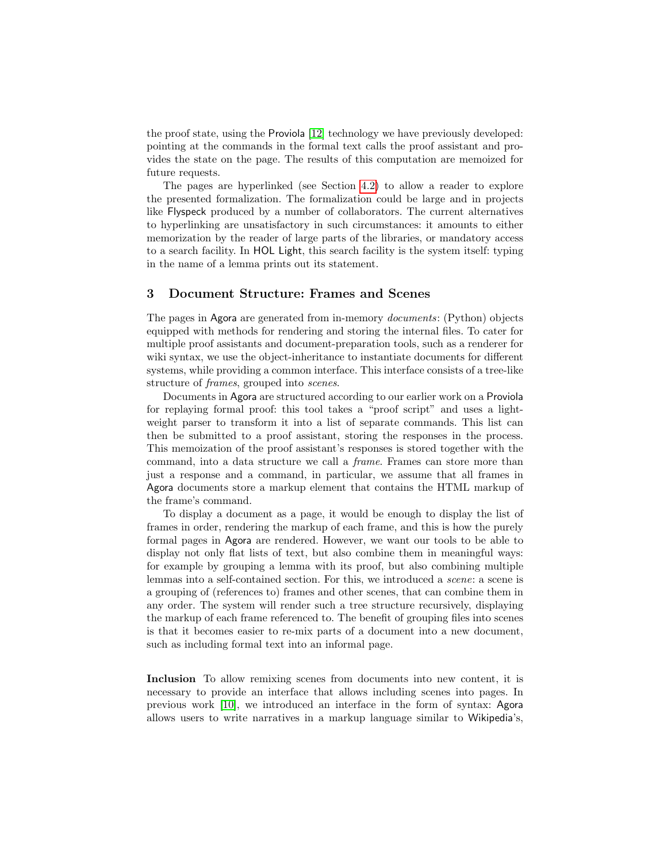the proof state, using the Proviola [\[12\]](#page-14-11) technology we have previously developed: pointing at the commands in the formal text calls the proof assistant and provides the state on the page. The results of this computation are memoized for future requests.

The pages are hyperlinked (see Section [4.2\)](#page-9-0) to allow a reader to explore the presented formalization. The formalization could be large and in projects like Flyspeck produced by a number of collaborators. The current alternatives to hyperlinking are unsatisfactory in such circumstances: it amounts to either memorization by the reader of large parts of the libraries, or mandatory access to a search facility. In HOL Light, this search facility is the system itself: typing in the name of a lemma prints out its statement.

#### <span id="page-6-0"></span>3 Document Structure: Frames and Scenes

The pages in Agora are generated from in-memory documents: (Python) objects equipped with methods for rendering and storing the internal files. To cater for multiple proof assistants and document-preparation tools, such as a renderer for wiki syntax, we use the object-inheritance to instantiate documents for different systems, while providing a common interface. This interface consists of a tree-like structure of frames, grouped into scenes.

Documents in Agora are structured according to our earlier work on a Proviola for replaying formal proof: this tool takes a "proof script" and uses a lightweight parser to transform it into a list of separate commands. This list can then be submitted to a proof assistant, storing the responses in the process. This memoization of the proof assistant's responses is stored together with the command, into a data structure we call a frame. Frames can store more than just a response and a command, in particular, we assume that all frames in Agora documents store a markup element that contains the HTML markup of the frame's command.

To display a document as a page, it would be enough to display the list of frames in order, rendering the markup of each frame, and this is how the purely formal pages in Agora are rendered. However, we want our tools to be able to display not only flat lists of text, but also combine them in meaningful ways: for example by grouping a lemma with its proof, but also combining multiple lemmas into a self-contained section. For this, we introduced a scene: a scene is a grouping of (references to) frames and other scenes, that can combine them in any order. The system will render such a tree structure recursively, displaying the markup of each frame referenced to. The benefit of grouping files into scenes is that it becomes easier to re-mix parts of a document into a new document, such as including formal text into an informal page.

Inclusion To allow remixing scenes from documents into new content, it is necessary to provide an interface that allows including scenes into pages. In previous work [\[10\]](#page-14-9), we introduced an interface in the form of syntax: Agora allows users to write narratives in a markup language similar to Wikipedia's,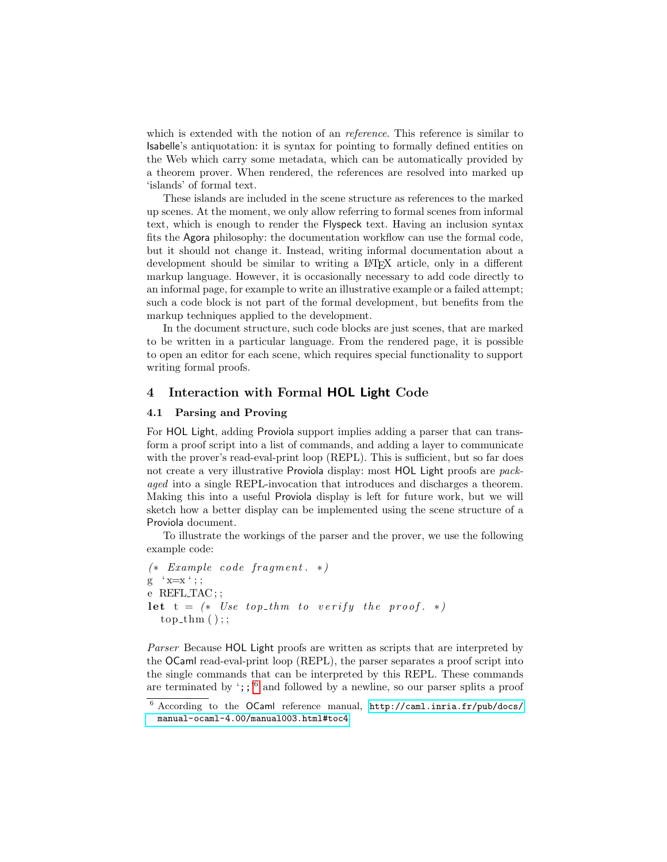which is extended with the notion of an *reference*. This reference is similar to Isabelle's antiquotation: it is syntax for pointing to formally defined entities on the Web which carry some metadata, which can be automatically provided by a theorem prover. When rendered, the references are resolved into marked up 'islands' of formal text.

These islands are included in the scene structure as references to the marked up scenes. At the moment, we only allow referring to formal scenes from informal text, which is enough to render the Flyspeck text. Having an inclusion syntax fits the Agora philosophy: the documentation workflow can use the formal code, but it should not change it. Instead, writing informal documentation about a development should be similar to writing a LAT<sub>EX</sub> article, only in a different markup language. However, it is occasionally necessary to add code directly to an informal page, for example to write an illustrative example or a failed attempt; such a code block is not part of the formal development, but benefits from the markup techniques applied to the development.

In the document structure, such code blocks are just scenes, that are marked to be written in a particular language. From the rendered page, it is possible to open an editor for each scene, which requires special functionality to support writing formal proofs.

## <span id="page-7-0"></span>4 Interaction with Formal HOL Light Code

#### 4.1 Parsing and Proving

For HOL Light, adding Proviola support implies adding a parser that can transform a proof script into a list of commands, and adding a layer to communicate with the prover's read-eval-print loop (REPL). This is sufficient, but so far does not create a very illustrative Proviola display: most HOL Light proofs are packaged into a single REPL-invocation that introduces and discharges a theorem. Making this into a useful Proviola display is left for future work, but we will sketch how a better display can be implemented using the scene structure of a Proviola document.

To illustrate the workings of the parser and the prover, we use the following example code:

 $(*\; Example\ code\ fragment.*)$  $g'$  '  $x=x'$  ; ; e REFL\_TAC;; let t =  $(*$  Use top\_thm to verify the proof.  $*)$  $top\_thm()$ ;;

Parser Because HOL Light proofs are written as scripts that are interpreted by the OCaml read-eval-print loop (REPL), the parser separates a proof script into the single commands that can be interpreted by this REPL. These commands are terminated by '; ; '<sup>[6](#page-7-1)</sup> and followed by a newline, so our parser splits a proof

<span id="page-7-1"></span><sup>6</sup> According to the OCaml reference manual, [http://caml.inria.fr/pub/docs/](http://caml.inria.fr/pub/docs/manual-ocaml-4.00/manual003.html#toc4) [manual-ocaml-4.00/manual003.html#toc4](http://caml.inria.fr/pub/docs/manual-ocaml-4.00/manual003.html#toc4)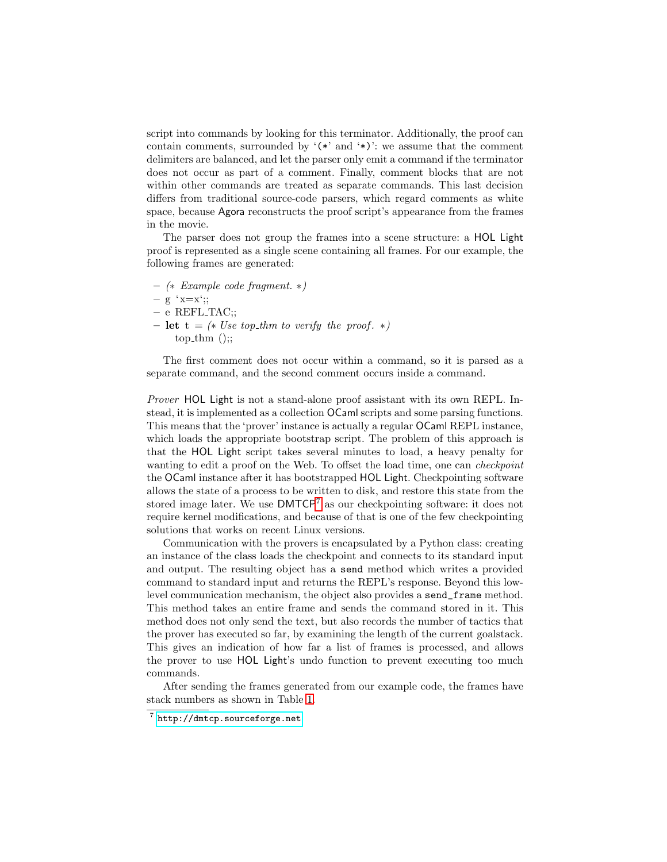script into commands by looking for this terminator. Additionally, the proof can contain comments, surrounded by  $(\star)$  and  $(\star)$ : we assume that the comment delimiters are balanced, and let the parser only emit a command if the terminator does not occur as part of a comment. Finally, comment blocks that are not within other commands are treated as separate commands. This last decision differs from traditional source-code parsers, which regard comments as white space, because Agora reconstructs the proof script's appearance from the frames in the movie.

The parser does not group the frames into a scene structure: a HOL Light proof is represented as a single scene containing all frames. For our example, the following frames are generated:

- (∗ Example code fragment. ∗)
- $-$  g  $x=x$ ;;
- $-$  e REFL\_TAC;;
- let t =  $(*$  Use top\_thm to verify the proof.  $*)$  $top\_thm$  ();;

The first comment does not occur within a command, so it is parsed as a separate command, and the second comment occurs inside a command.

Prover HOL Light is not a stand-alone proof assistant with its own REPL. Instead, it is implemented as a collection OCaml scripts and some parsing functions. This means that the 'prover' instance is actually a regular OCaml REPL instance, which loads the appropriate bootstrap script. The problem of this approach is that the HOL Light script takes several minutes to load, a heavy penalty for wanting to edit a proof on the Web. To offset the load time, one can *checkpoint* the OCaml instance after it has bootstrapped HOL Light. Checkpointing software allows the state of a process to be written to disk, and restore this state from the stored image later. We use DMTCP<sup>[7](#page-8-0)</sup> as our checkpointing software: it does not require kernel modifications, and because of that is one of the few checkpointing solutions that works on recent Linux versions.

Communication with the provers is encapsulated by a Python class: creating an instance of the class loads the checkpoint and connects to its standard input and output. The resulting object has a send method which writes a provided command to standard input and returns the REPL's response. Beyond this lowlevel communication mechanism, the object also provides a send\_frame method. This method takes an entire frame and sends the command stored in it. This method does not only send the text, but also records the number of tactics that the prover has executed so far, by examining the length of the current goalstack. This gives an indication of how far a list of frames is processed, and allows the prover to use HOL Light's undo function to prevent executing too much commands.

After sending the frames generated from our example code, the frames have stack numbers as shown in Table [1.](#page-9-1)

<span id="page-8-0"></span><sup>7</sup> <http://dmtcp.sourceforge.net>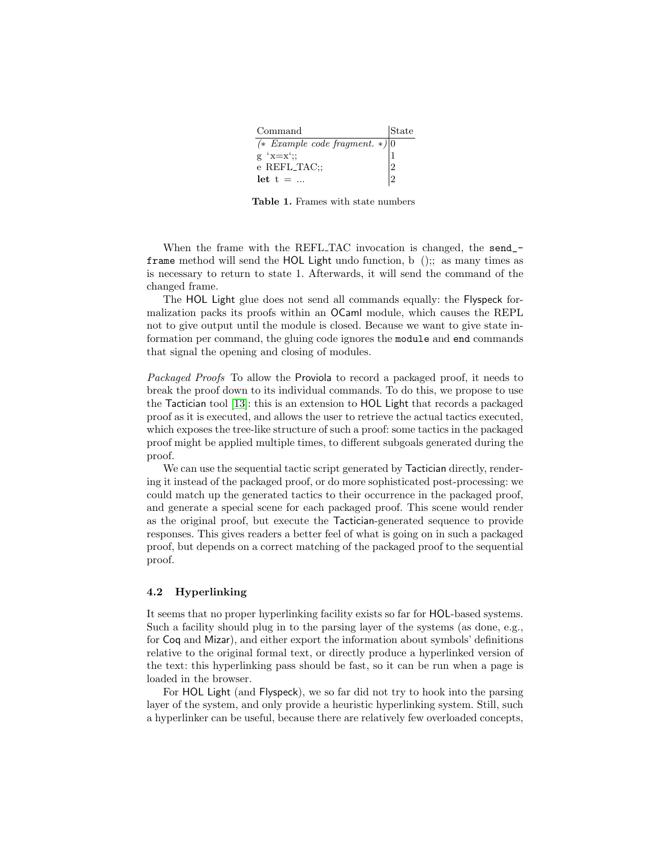| Command                        | <b>State</b> |
|--------------------------------|--------------|
| (* Example code fragment. *) 0 |              |
| $g'$ x=x':                     |              |
| e REFL_TAC;;                   | פי           |
| let $t = $                     |              |

<span id="page-9-1"></span>Table 1. Frames with state numbers

When the frame with the REFL TAC invocation is changed, the send\_frame method will send the HOL Light undo function, b ();; as many times as is necessary to return to state 1. Afterwards, it will send the command of the changed frame.

The HOL Light glue does not send all commands equally: the Flyspeck formalization packs its proofs within an OCaml module, which causes the REPL not to give output until the module is closed. Because we want to give state information per command, the gluing code ignores the module and end commands that signal the opening and closing of modules.

Packaged Proofs To allow the Proviola to record a packaged proof, it needs to break the proof down to its individual commands. To do this, we propose to use the Tactician tool [\[13\]](#page-14-12): this is an extension to HOL Light that records a packaged proof as it is executed, and allows the user to retrieve the actual tactics executed, which exposes the tree-like structure of such a proof: some tactics in the packaged proof might be applied multiple times, to different subgoals generated during the proof.

We can use the sequential tactic script generated by **Tactician** directly, rendering it instead of the packaged proof, or do more sophisticated post-processing: we could match up the generated tactics to their occurrence in the packaged proof, and generate a special scene for each packaged proof. This scene would render as the original proof, but execute the Tactician-generated sequence to provide responses. This gives readers a better feel of what is going on in such a packaged proof, but depends on a correct matching of the packaged proof to the sequential proof.

#### <span id="page-9-0"></span>4.2 Hyperlinking

It seems that no proper hyperlinking facility exists so far for HOL-based systems. Such a facility should plug in to the parsing layer of the systems (as done, e.g., for Coq and Mizar), and either export the information about symbols' definitions relative to the original formal text, or directly produce a hyperlinked version of the text: this hyperlinking pass should be fast, so it can be run when a page is loaded in the browser.

For HOL Light (and Flyspeck), we so far did not try to hook into the parsing layer of the system, and only provide a heuristic hyperlinking system. Still, such a hyperlinker can be useful, because there are relatively few overloaded concepts,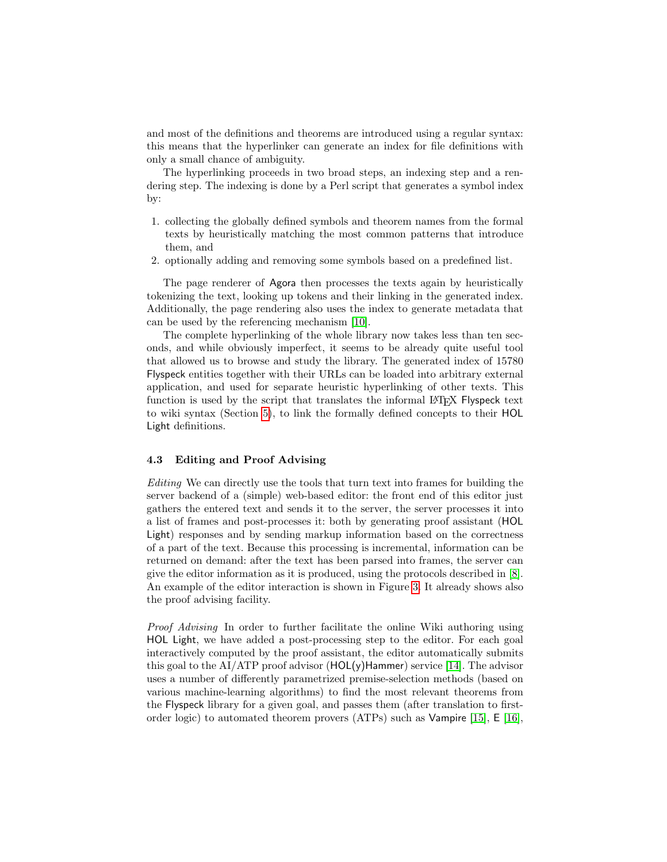and most of the definitions and theorems are introduced using a regular syntax: this means that the hyperlinker can generate an index for file definitions with only a small chance of ambiguity.

The hyperlinking proceeds in two broad steps, an indexing step and a rendering step. The indexing is done by a Perl script that generates a symbol index by:

- 1. collecting the globally defined symbols and theorem names from the formal texts by heuristically matching the most common patterns that introduce them, and
- 2. optionally adding and removing some symbols based on a predefined list.

The page renderer of Agora then processes the texts again by heuristically tokenizing the text, looking up tokens and their linking in the generated index. Additionally, the page rendering also uses the index to generate metadata that can be used by the referencing mechanism [\[10\]](#page-14-9).

The complete hyperlinking of the whole library now takes less than ten seconds, and while obviously imperfect, it seems to be already quite useful tool that allowed us to browse and study the library. The generated index of 15780 Flyspeck entities together with their URLs can be loaded into arbitrary external application, and used for separate heuristic hyperlinking of other texts. This function is used by the script that translates the informal LAT<sub>E</sub>X Flyspeck text to wiki syntax (Section [5\)](#page-11-0), to link the formally defined concepts to their HOL Light definitions.

## 4.3 Editing and Proof Advising

Editing We can directly use the tools that turn text into frames for building the server backend of a (simple) web-based editor: the front end of this editor just gathers the entered text and sends it to the server, the server processes it into a list of frames and post-processes it: both by generating proof assistant (HOL Light) responses and by sending markup information based on the correctness of a part of the text. Because this processing is incremental, information can be returned on demand: after the text has been parsed into frames, the server can give the editor information as it is produced, using the protocols described in [\[8\]](#page-14-7). An example of the editor interaction is shown in Figure [3.](#page-11-1) It already shows also the proof advising facility.

Proof Advising In order to further facilitate the online Wiki authoring using HOL Light, we have added a post-processing step to the editor. For each goal interactively computed by the proof assistant, the editor automatically submits this goal to the AI/ATP proof advisor  $(HOL(y)$ Hammer) service [\[14\]](#page-14-13). The advisor uses a number of differently parametrized premise-selection methods (based on various machine-learning algorithms) to find the most relevant theorems from the Flyspeck library for a given goal, and passes them (after translation to firstorder logic) to automated theorem provers (ATPs) such as Vampire [\[15\]](#page-14-14), E [\[16\]](#page-14-15),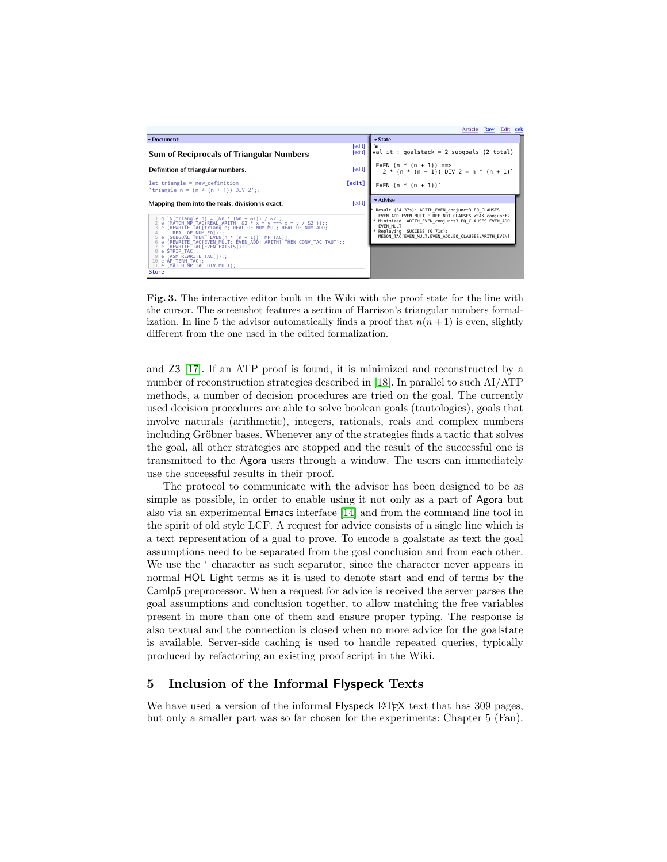

<span id="page-11-1"></span>Fig. 3. The interactive editor built in the Wiki with the proof state for the line with the cursor. The screenshot features a section of Harrison's triangular numbers formalization. In line 5 the advisor automatically finds a proof that  $n(n + 1)$  is even, slightly different from the one used in the edited formalization.

and Z3 [\[17\]](#page-14-16). If an ATP proof is found, it is minimized and reconstructed by a number of reconstruction strategies described in [\[18\]](#page-14-17). In parallel to such AI/ATP methods, a number of decision procedures are tried on the goal. The currently used decision procedures are able to solve boolean goals (tautologies), goals that involve naturals (arithmetic), integers, rationals, reals and complex numbers including Gröbner bases. Whenever any of the strategies finds a tactic that solves the goal, all other strategies are stopped and the result of the successful one is transmitted to the Agora users through a window. The users can immediately use the successful results in their proof.

The protocol to communicate with the advisor has been designed to be as simple as possible, in order to enable using it not only as a part of Agora but also via an experimental Emacs interface [\[14\]](#page-14-13) and from the command line tool in the spirit of old style LCF. A request for advice consists of a single line which is a text representation of a goal to prove. To encode a goalstate as text the goal assumptions need to be separated from the goal conclusion and from each other. We use the ' character as such separator, since the character never appears in normal HOL Light terms as it is used to denote start and end of terms by the Camlp5 preprocessor. When a request for advice is received the server parses the goal assumptions and conclusion together, to allow matching the free variables present in more than one of them and ensure proper typing. The response is also textual and the connection is closed when no more advice for the goalstate is available. Server-side caching is used to handle repeated queries, typically produced by refactoring an existing proof script in the Wiki.

## <span id="page-11-0"></span>5 Inclusion of the Informal Flyspeck Texts

We have used a version of the informal Flyspeck LAT<sub>EX</sub> text that has 309 pages, but only a smaller part was so far chosen for the experiments: Chapter 5 (Fan).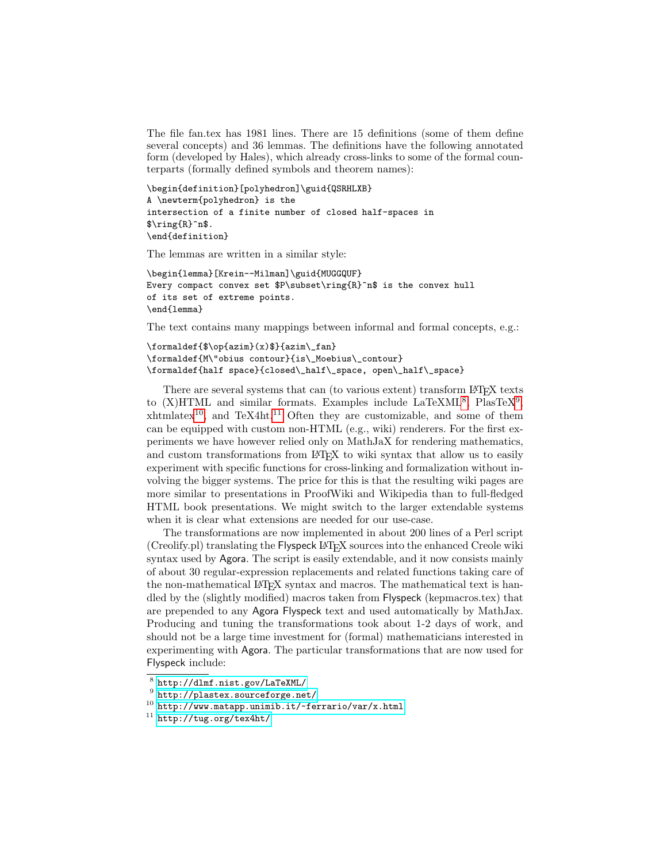The file fan.tex has 1981 lines. There are 15 definitions (some of them define several concepts) and 36 lemmas. The definitions have the following annotated form (developed by Hales), which already cross-links to some of the formal counterparts (formally defined symbols and theorem names):

```
\begin{definition}[polyhedron]\guid{QSRHLXB}
A \newterm{polyhedron} is the
intersection of a finite number of closed half-spaces in
$\ring{R}^n$.
\end{definition}
```
The lemmas are written in a similar style:

```
\begin{lemma}[Krein--Milman]\guid{MUGGQUF}
Every compact convex set $P\subset\ring{R}^n$ is the convex hull
of its set of extreme points.
\end{lemma}
```
The text contains many mappings between informal and formal concepts, e.g.:

\formaldef{\$\op{azim}(x)\$}{azim\\_fan} \formaldef{M\"obius contour}{is\\_Moebius\\_contour} \formaldef{half space}{closed\\_half\\_space, open\\_half\\_space}

There are several systems that can (to various extent) transform LAT<sub>EX</sub> texts to  $(X)$ HTML and similar formats. Examples include LaTeXML<sup>[8](#page-12-0)</sup>, PlasTeX<sup>[9](#page-12-1)</sup>,  $x$ htmlate $x^{10}$  $x^{10}$  $x^{10}$ , and TeX4ht.<sup>[11](#page-12-3)</sup> Often they are customizable, and some of them can be equipped with custom non-HTML (e.g., wiki) renderers. For the first experiments we have however relied only on MathJaX for rendering mathematics, and custom transformations from LATEX to wiki syntax that allow us to easily experiment with specific functions for cross-linking and formalization without involving the bigger systems. The price for this is that the resulting wiki pages are more similar to presentations in ProofWiki and Wikipedia than to full-fledged HTML book presentations. We might switch to the larger extendable systems when it is clear what extensions are needed for our use-case.

The transformations are now implemented in about 200 lines of a Perl script (Creolify.pl) translating the Flyspeck LATEX sources into the enhanced Creole wiki syntax used by Agora. The script is easily extendable, and it now consists mainly of about 30 regular-expression replacements and related functions taking care of the non-mathematical LATEX syntax and macros. The mathematical text is handled by the (slightly modified) macros taken from Flyspeck (kepmacros.tex) that are prepended to any Agora Flyspeck text and used automatically by MathJax. Producing and tuning the transformations took about 1-2 days of work, and should not be a large time investment for (formal) mathematicians interested in experimenting with Agora. The particular transformations that are now used for Flyspeck include:

<span id="page-12-0"></span> $^8$  <http://dlmf.nist.gov/LaTeXML/>

<span id="page-12-1"></span> $^9$  <http://plastex.sourceforge.net/>

<span id="page-12-2"></span><sup>10</sup> <http://www.matapp.unimib.it/~ferrario/var/x.html>

<span id="page-12-3"></span><sup>11</sup> <http://tug.org/tex4ht/>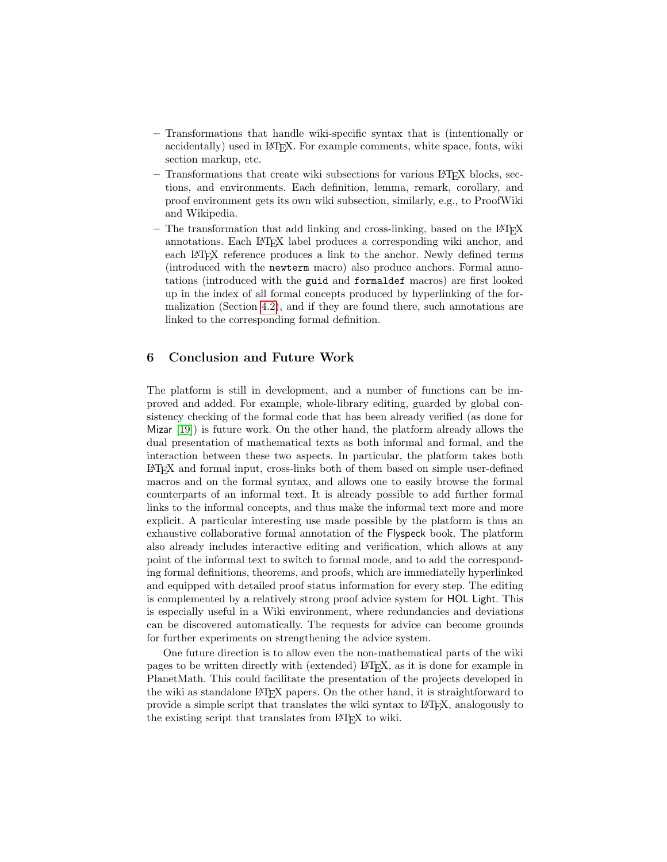- Transformations that handle wiki-specific syntax that is (intentionally or accidentally) used in LATEX. For example comments, white space, fonts, wiki section markup, etc.
- Transformations that create wiki subsections for various LATEX blocks, sections, and environments. Each definition, lemma, remark, corollary, and proof environment gets its own wiki subsection, similarly, e.g., to ProofWiki and Wikipedia.
- The transformation that add linking and cross-linking, based on the L<sup>AT</sup>EX annotations. Each LATEX label produces a corresponding wiki anchor, and each LATEX reference produces a link to the anchor. Newly defined terms (introduced with the newterm macro) also produce anchors. Formal annotations (introduced with the guid and formaldef macros) are first looked up in the index of all formal concepts produced by hyperlinking of the formalization (Section [4.2\)](#page-9-0), and if they are found there, such annotations are linked to the corresponding formal definition.

# <span id="page-13-0"></span>6 Conclusion and Future Work

The platform is still in development, and a number of functions can be improved and added. For example, whole-library editing, guarded by global consistency checking of the formal code that has been already verified (as done for Mizar [\[19\]](#page-14-18)) is future work. On the other hand, the platform already allows the dual presentation of mathematical texts as both informal and formal, and the interaction between these two aspects. In particular, the platform takes both LATEX and formal input, cross-links both of them based on simple user-defined macros and on the formal syntax, and allows one to easily browse the formal counterparts of an informal text. It is already possible to add further formal links to the informal concepts, and thus make the informal text more and more explicit. A particular interesting use made possible by the platform is thus an exhaustive collaborative formal annotation of the Flyspeck book. The platform also already includes interactive editing and verification, which allows at any point of the informal text to switch to formal mode, and to add the corresponding formal definitions, theorems, and proofs, which are immediatelly hyperlinked and equipped with detailed proof status information for every step. The editing is complemented by a relatively strong proof advice system for HOL Light. This is especially useful in a Wiki environment, where redundancies and deviations can be discovered automatically. The requests for advice can become grounds for further experiments on strengthening the advice system.

One future direction is to allow even the non-mathematical parts of the wiki pages to be written directly with (extended) LATEX, as it is done for example in PlanetMath. This could facilitate the presentation of the projects developed in the wiki as standalone LATEX papers. On the other hand, it is straightforward to provide a simple script that translates the wiki syntax to LATEX, analogously to the existing script that translates from LAT<sub>EX</sub> to wiki.